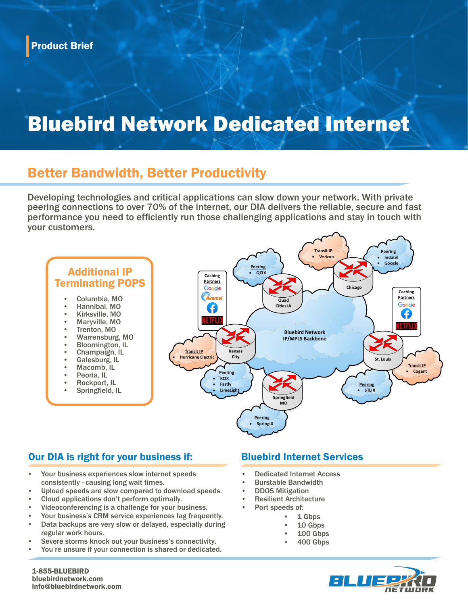## Bluebird Network Dedicated Internet

#### Better Bandwidth, Better Productivity

Developing technologies and critical applications can slow down your network. With private peering connections to over 70% of the internet, our DIA delivers the reliable, secure and fast performance you need to efficiently run those challenging applications and stay in touch with your customers.



#### Our DIA is right for your business if: Bluebird Internet Services

- Your business experiences slow internet speeds consistently - causing long wait times.
- Upload speeds are slow compared to download speeds.
- Cloud applications don't perform optimally.
- Videoconferencing is a challenge for your business.
- Your business's CRM service experiences lag frequently.
- Data backups are very slow or delayed, especially during regular work hours.
- Severe storms knock out your business's connectivity.
- You're unsure if your connection is shared or dedicated.

- Dedicated Internet Access
- Burstable Bandwidth
- DDOS Mitigation
- **Resilient Architecture** 
	- Port speeds of:
		- 1 Gbps
		- 10 Gbps
		- 100 Gbps
		- 400 Gbps



1-855-BLUEBIRD bluebirdnetwork.com info@bluebirdnetwork.com